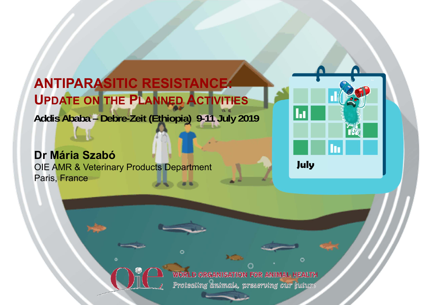**ANTIPARASITIC RESISTANCE: UPDATE ON THE PLANNED ACTIVITIES Addis Ababa – Debre-Zeit (Ethiopia) 9-11 July 2019**

#### **Dr Mária Szabó**

OIE AMR & Veterinary Products Department Paris, France



WORLD ORGANISATION FOR ANIMAL HEALTH Protecting animals, preserving our juture

r.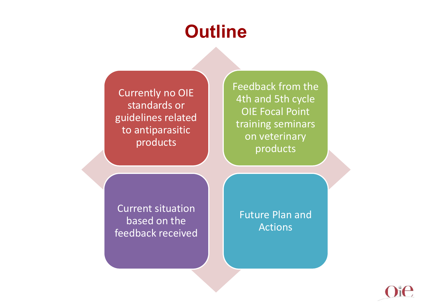#### **Outline**

Currently no OIE standards or guidelines related to antiparasitic products

Feedback from the 4th and 5th cycle OIE Focal Point training seminars on veterinary products

Current situation based on the feedback received

Future Plan and Actions

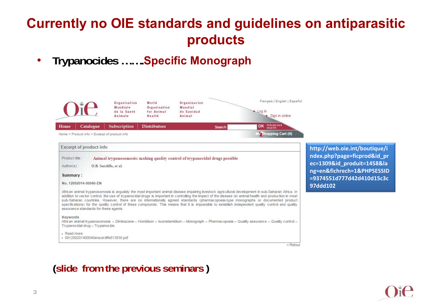#### **Currently no OIE standards and guidelines on antiparasitic products**

 $\bullet$ **Trypanocides …….Specific Monograph**

|                                                       | Organisation<br>Mondiale<br>de la Santé<br>Animale                                                     | World<br>Organisation<br>for Animal<br>Health | Organizacion<br>Mundial<br>de Sanidad<br>Animal |        | Français   English   Español<br>$L$ og in<br>Sign in online                                                                                                                                                                                                                                                                                                                                                                                                                                                                                                                                              |
|-------------------------------------------------------|--------------------------------------------------------------------------------------------------------|-----------------------------------------------|-------------------------------------------------|--------|----------------------------------------------------------------------------------------------------------------------------------------------------------------------------------------------------------------------------------------------------------------------------------------------------------------------------------------------------------------------------------------------------------------------------------------------------------------------------------------------------------------------------------------------------------------------------------------------------------|
| Catalogue<br>Home                                     | <b>Subscription</b>                                                                                    | <b>Distributors</b>                           |                                                 | Search | OK Advanced                                                                                                                                                                                                                                                                                                                                                                                                                                                                                                                                                                                              |
| Home > Product info > Excerpt of product info         |                                                                                                        |                                               |                                                 |        | My Shopping Cart (0)                                                                                                                                                                                                                                                                                                                                                                                                                                                                                                                                                                                     |
| Excerpt of product info                               |                                                                                                        |                                               |                                                 |        |                                                                                                                                                                                                                                                                                                                                                                                                                                                                                                                                                                                                          |
| Product title:<br>Author(s):                          | Animal trypanosomosis: making quality control of trypanocidal drugs possible<br>O.B. Sutcliffe, et al. |                                               |                                                 |        |                                                                                                                                                                                                                                                                                                                                                                                                                                                                                                                                                                                                          |
| Summary:                                              |                                                                                                        |                                               |                                                 |        |                                                                                                                                                                                                                                                                                                                                                                                                                                                                                                                                                                                                          |
| No. 12092014-00040-EN                                 |                                                                                                        |                                               |                                                 |        |                                                                                                                                                                                                                                                                                                                                                                                                                                                                                                                                                                                                          |
| assurance standards for these agents.                 |                                                                                                        |                                               |                                                 |        | African animal trypanosomosis is arquably the most important animal disease impairing livestock agricultural development in sub-Saharan Africa. In<br>addition to vector control, the use of trypanocidal drugs is important in controlling the impact of the disease on animal health and production in most<br>sub-Saharan countries. However, there are no internationally agreed standards (pharmacopoeia-type monographs or documented product<br>specifications) for the quality control of these compounds. This means that it is impossible to establish independent quality control and quality |
| Keywords<br>Trypanocidal drug - Trypanocide.          |                                                                                                        |                                               |                                                 |        | African animal trypanosomosis - Diminazene - Homidium - Isometamidium - Monograph - Pharmacopoeia - Quality assurance - Quality control -                                                                                                                                                                                                                                                                                                                                                                                                                                                                |
| - Read more<br>- 091209201400040ensutcliffe813830.pdf |                                                                                                        |                                               |                                                 |        |                                                                                                                                                                                                                                                                                                                                                                                                                                                                                                                                                                                                          |

**http://web.oie.int/boutique/i ndex.php?page=ficprod&id\_pr ec=1309&id\_produit=1458&la ng=en&fichrech=1&PHPSESSID =9374551d777d42d410d15c3c 97ddd102**

 $<$  Retour

**(slide from the previous seminars )**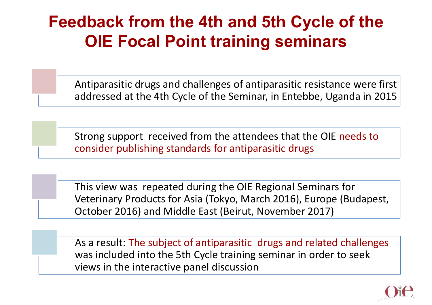#### **Feedback from the 4th and 5th Cycle of the OIE Focal Point training seminars**

Antiparasitic drugs and challenges of antiparasitic resistance were first addressed at the 4th Cycle of the Seminar, in Entebbe, Uganda in 2015

Strong support received from the attendees that the OIE needs to consider publishing standards for antiparasitic drugs

This view was repeated during the OIE Regional Seminars for Veterinary Products for Asia (Tokyo, March 2016), Europe (Budapest, October 2016) and Middle East (Beirut, November 2017)

As a result: The subject of antiparasitic drugs and related challenges was included into the 5th Cycle training seminar in order to seek views in the interactive panel discussion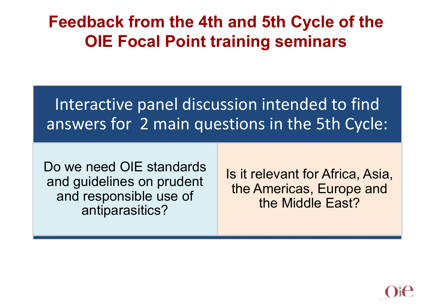#### **Feedback from the 4th and 5th Cycle of the OIE Focal Point training seminars**

Interactive panel discussion intended to find answers for 2 main questions in the 5th Cycle:

Do we need OIE standards and guidelines on prudent and responsible use of antiparasitics?

Is it relevant for Africa, Asia, the Americas, Europe and the Middle East?

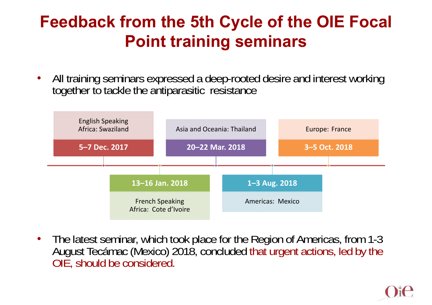#### **Feedback from the 5th Cycle of the OIE Focal Point training seminars**

• All training seminars expressed a deep-rooted desire and interest working together to tackle the antiparasitic resistance



 $\bullet$  The latest seminar, which took place for the Region of Americas, from 1-3 August Tecámac (Mexico) 2018, concluded that urgent actions, led by the OIE, should be considered.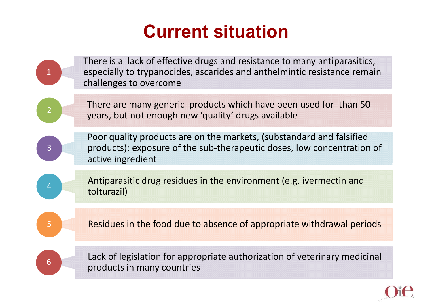### **Current situation**

|                | There is a lack of effective drugs and resistance to many antiparasitics,<br>especially to trypanocides, ascarides and anthelmintic resistance remain<br>challenges to overcome |
|----------------|---------------------------------------------------------------------------------------------------------------------------------------------------------------------------------|
| $\overline{2}$ | There are many generic products which have been used for than 50<br>years, but not enough new 'quality' drugs available                                                         |
| $\overline{3}$ | Poor quality products are on the markets, (substandard and falsified<br>products); exposure of the sub-therapeutic doses, low concentration of<br>active ingredient             |
| 4              | Antiparasitic drug residues in the environment (e.g. ivermectin and<br>tolturazil)                                                                                              |
| 5              | Residues in the food due to absence of appropriate withdrawal periods                                                                                                           |
| 6              | Lack of legislation for appropriate authorization of veterinary medicinal<br>products in many countries                                                                         |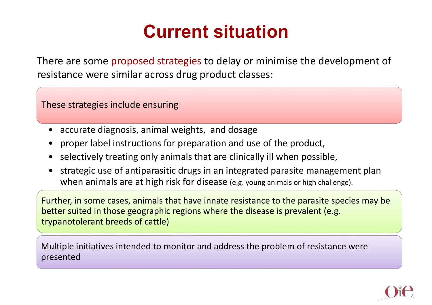### **Current situation**

There are some proposed strategies to delay or minimise the development of resistance were similar across drug product classes:

These strategies include ensuring

- •accurate diagnosis, animal weights, and dosage
- •proper label instructions for preparation and use of the product,
- •selectively treating only animals that are clinically ill when possible,
- $\bullet$  strategic use of antiparasitic drugs in an integrated parasite management plan when animals are at high risk for disease (e.g. young animals or high challenge).

Further, in some cases, animals that have innate resistance to the parasite species may be better suited in those geographic regions where the disease is prevalent (e.g. trypanotolerant breeds of cattle)

Multiple initiatives intended to monitor and address the problem of resistance were presented

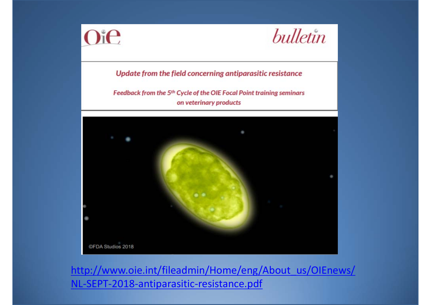



Update from the field concerning antiparasitic resistance

Feedback from the 5<sup>th</sup> Cycle of the OIE Focal Point training seminars on veterinary products



http://www.oie.int/fileadmin/Home/eng/About\_us/OIEnews/ NL-SEPT-2018-antiparasitic-resistance.pdf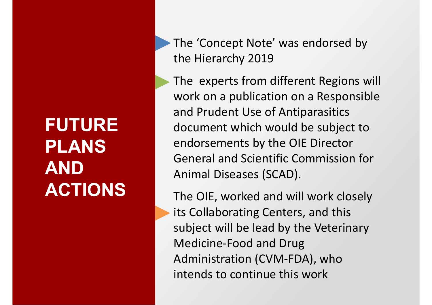## **FUTURE PLANS AND ACTIONS**

The 'Concept Note' was endorsed by the Hierarchy 2019

The experts from different Regions will work on a publication on a Responsible and Prudent Use of Antiparasitics document which would be subject to endorsements by the OIE Director General and Scientific Commission for Animal Diseases (SCAD).

The OIE, worked and will work closely its Collaborating Centers, and this subject will be lead by the Veterinary Medicine-Food and Drug Administration (CVM-FDA), who intends to continue this work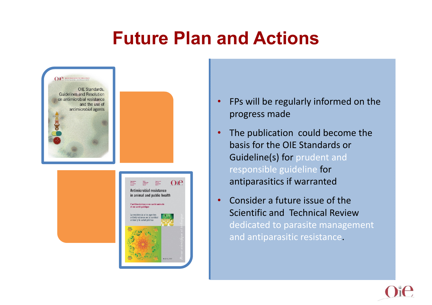#### **Future Plan and Actions**



- • FPs will be regularly informed on the progress made
- • The publication could become the basis for the OIE Standards or Guideline(s) for prudent and responsible guideline for antiparasitics if warranted
- • Consider a future issue of the Scientific and Technical Review dedicated to parasite management and antiparasitic resistance.